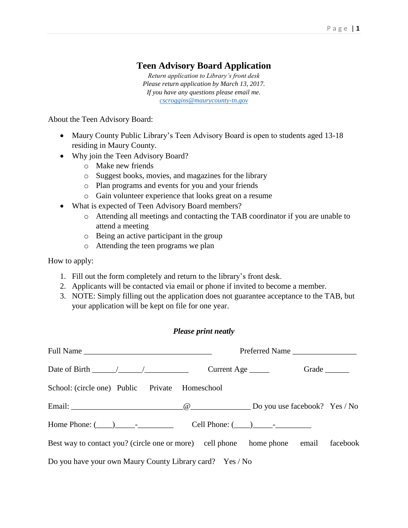# **Teen Advisory Board Application**

*Return application to Library's front desk Please return application by March 13, 2017. If you have any questions please email me. [cscroggins@maurycounty-tn.gov](mailto:jessicahaywood124@gmail.com)*

About the Teen Advisory Board:

- Maury County Public Library's Teen Advisory Board is open to students aged 13-18 residing in Maury County.
- Why join the Teen Advisory Board?
	- o Make new friends
	- o Suggest books, movies, and magazines for the library
	- o Plan programs and events for you and your friends
	- o Gain volunteer experience that looks great on a resume
- What is expected of Teen Advisory Board members?
	- o Attending all meetings and contacting the TAB coordinator if you are unable to attend a meeting
	- o Being an active participant in the group
	- o Attending the teen programs we plan

How to apply:

- 1. Fill out the form completely and return to the library's front desk.
- 2. Applicants will be contacted via email or phone if invited to become a member.
- 3. NOTE: Simply filling out the application does not guarantee acceptance to the TAB, but your application will be kept on file for one year.

#### *Please print neatly*

|                                                                                    | Preferred Name |                             |                |  |
|------------------------------------------------------------------------------------|----------------|-----------------------------|----------------|--|
| Date of Birth $\frac{\sqrt{2}}{2}$                                                 |                |                             | Grade $\qquad$ |  |
| School: (circle one) Public Private Homeschool                                     |                |                             |                |  |
|                                                                                    |                |                             |                |  |
|                                                                                    |                | Cell Phone: $(\_\_)$ $\_\_$ |                |  |
| Best way to contact you? (circle one or more) cell phone home phone email facebook |                |                             |                |  |
| Do you have your own Maury County Library card? Yes / No                           |                |                             |                |  |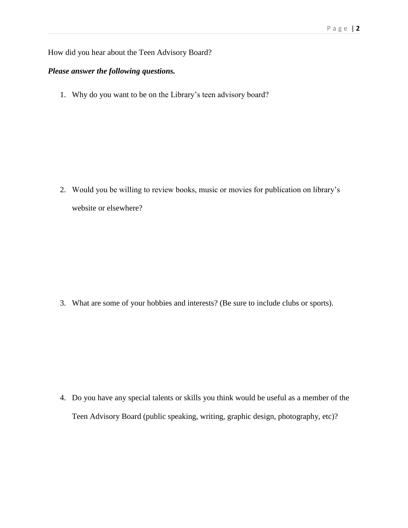#### How did you hear about the Teen Advisory Board?

### *Please answer the following questions.*

1. Why do you want to be on the Library's teen advisory board?

2. Would you be willing to review books, music or movies for publication on library's website or elsewhere?

3. What are some of your hobbies and interests? (Be sure to include clubs or sports).

4. Do you have any special talents or skills you think would be useful as a member of the Teen Advisory Board (public speaking, writing, graphic design, photography, etc)?